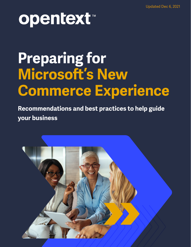# opentext™

## **Preparing for Microsoft's New Commerce Experience**

**Recommendations and best practices to help guide your business** 

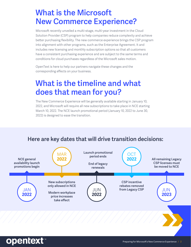### **What is the Microsoft New Commerce Experience?**

Microsoft recently unveiled a multi-stage, multi-year investment in the Cloud Solution Provider (CSP) program to help companies reduce complexity and achieve better purchasing flexibility. The new commerce experience brings the CSP program into alignment with other programs, such as the Enterprise Agreement. It and includes new licensing and monthly subscription options so that all customers have a consistent purchasing experience and are subject to the same terms and conditions for cloud purchases regardless of the Microsoft sales motion.

OpenText is here to help our partners navigate these changes and the corresponding effects on your business.

## **What is the timeline and what does that mean for you?**

The New Commerce Experience will be generally available starting in January 10, 2022, and Microsoft will require all new subscriptions to take place in NCE starting March 10, 2022. The NCE launch promotional period (January 10, 2022 to June 30, 2022) is designed to ease the transition.

#### **Here are key dates that will drive transition decisions:**

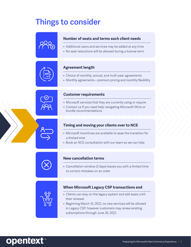## **Things to consider**